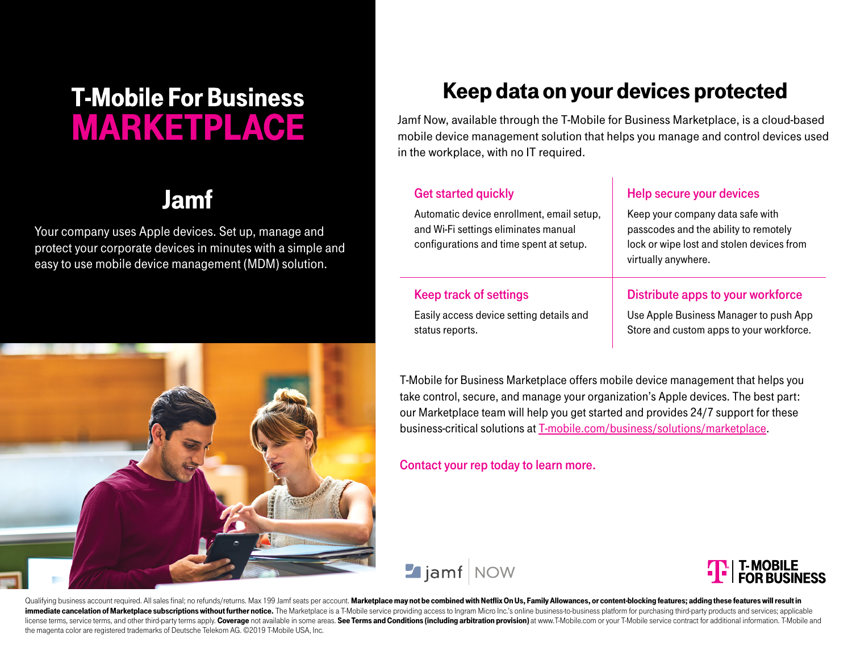# **T-Mobile For Business MARKETPLACE**

Your company uses Apple devices. Set up, manage and protect your corporate devices in minutes with a simple and easy to use mobile device management (MDM) solution.



## Keep data on your devices protected

Jamf Now, available through the T-Mobile for Business Marketplace, is a cloud-based mobile device management solution that helps you manage and control devices used in the workplace, with no IT required.

## Jamf Get started quickly

Automatic device enrollment, email setup, and Wi-Fi settings eliminates manual configurations and time spent at setup.

### Help secure your devices

Keep your company data safe with passcodes and the ability to remotely lock or wipe lost and stolen devices from virtually anywhere.

#### Keep track of settings

Easily access device setting details and status reports.

#### Distribute apps to your workforce

Use Apple Business Manager to push App Store and custom apps to your workforce.

T-Mobile for Business Marketplace offers mobile device management that helps you take control, secure, and manage your organization's Apple devices. The best part: our Marketplace team will help you get started and provides 24/7 support for these business-critical solutions at T[-mobile.com/business/solutions/marketplace](https://www.t-mobile.com/business/solutions/marketplace).

#### Contact your rep today to learn more.





Qualifying business account required. All sales final; no refunds/returns. Max 199 Jamf seats per account. Marketplace may not be combined with Netflix On Us, Family Allowances, or content-blocking features; adding these f immediate cancelation of Marketplace subscriptions without further notice. The Marketplace is a T-Mobile service providing access to Ingram Micro Inc.'s online business-to-business platform for purchasing third-party produ license terms, service terms, and other third-party terms apply. Coverage not available in some areas. See Terms and Conditions (including arbitration provision) at www. T-Mobile.com or your T-Mobile service contract for a the magenta color are registered trademarks of Deutsche Telekom AG. ©2019 T-Mobile USA, Inc.